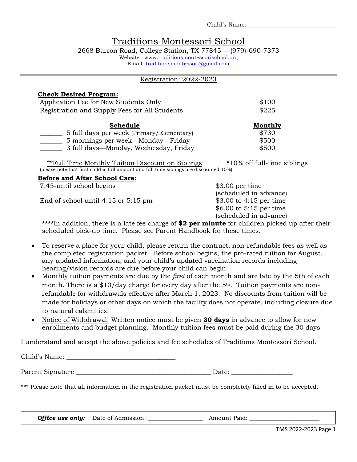Child's Name: \_\_\_\_\_\_\_\_\_\_\_\_\_\_\_\_\_\_\_\_\_\_\_\_\_\_\_\_\_\_

# Traditions Montessori School

2668 Barron Road, College Station, TX 77845 -- (979)-690-7373 Website: [www.traditionsmontessorischool.org](http://www.traditionsmontessorischool.org/) Email: [traditionsmontessori@gmail.com](mailto:traditionsmontessori@gmail.com)

#### Registration: 2022-2023

| <b>Check Desired Program:</b>                 |                |
|-----------------------------------------------|----------------|
| Application Fee for New Students Only         | \$100          |
| Registration and Supply Fees for All Students | \$225          |
| Schedule                                      | <b>Monthly</b> |
| 5 full days per week (Primary/Elementary)     | \$730          |
| 5 mornings per week—Monday - Friday           | \$500          |
| 3 full days—Monday, Wednesday, Friday         | \$500          |

\*\*Full Time Monthly Tuition Discount on Siblings  $*10\%$  off full-time siblings (please note that first child is full amount and full time siblings are discounted 10%)

## **Before and After School Care:**

7:45-until school begins \$3.00 per time

End of school until-4:15 or 5:15 pm \$3.00 to 4:15 per time

(scheduled in advance) \$6.00 to 5:15 per time (scheduled in advance)

**\*\*\*\***In addition, there is a late fee charge of **\$2 per minute** for children picked up after their scheduled pick-up time. Please see Parent Handbook for these times.

- To reserve a place for your child, please return the contract, non-refundable fees as well as the completed registration packet. Before school begins, the pro-rated tuition for August, any updated information, and your child's updated vaccination records including hearing/vision records are due before your child can begin.
- Monthly tuition payments are due by the *first* of each month and are late by the 5th of each month. There is a  $$10/day$  charge for every day after the 5<sup>th</sup>. Tuition payments are nonrefundable for withdrawals effective after March 1, 2023. No discounts from tuition will be made for holidays or other days on which the facility does not operate, including closure due to natural calamities.
- Notice of Withdrawal: Written notice must be given **30 days** in advance to allow for new enrollments and budget planning. Monthly tuition fees must be paid during the 30 days.

I understand and accept the above policies and fee schedules of Traditions Montessori School.

Child's Name:

Parent Signature \_\_\_\_\_\_\_\_\_\_\_\_\_\_\_\_\_\_\_\_\_\_\_\_\_\_\_\_\_\_\_\_\_\_\_\_\_\_\_\_\_\_ Date: \_\_\_\_\_\_\_\_\_\_\_\_\_\_\_\_\_\_\_

\*\*\* Please note that all information in the registration packet must be completely filled in to be accepted.

*Office use only:* Date of Admission: \_\_\_\_\_\_\_\_\_\_\_\_\_\_\_\_\_\_\_ Amount Paid: \_\_\_\_\_\_\_\_\_\_\_\_\_\_\_\_\_\_\_\_\_\_\_\_

TMS 2022-2023 Page 1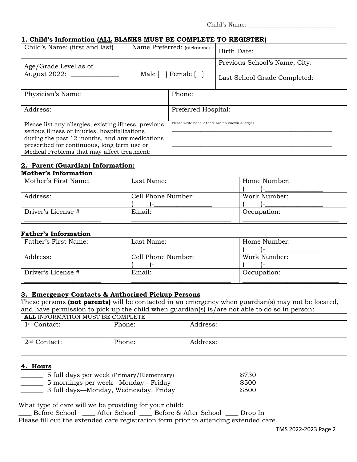## **1. Child's Information (ALL BLANKS MUST BE COMPLETE TO REGISTER)**

| Child's Name: (first and last)                                                                                                                                                                                                                         | Name Preferred: (nickname)                         | Birth Date:                                                   |
|--------------------------------------------------------------------------------------------------------------------------------------------------------------------------------------------------------------------------------------------------------|----------------------------------------------------|---------------------------------------------------------------|
| Age/Grade Level as of<br>August 2022: ______                                                                                                                                                                                                           | Male $\lceil \ \rceil$ Female $\lceil \ \rceil$    | Previous School's Name, City:<br>Last School Grade Completed: |
| Physician's Name:                                                                                                                                                                                                                                      | Phone:                                             |                                                               |
| Address:                                                                                                                                                                                                                                               | Preferred Hospital:                                |                                                               |
| Please list any allergies, existing illness, previous<br>serious illness or injuries, hospitalizations<br>during the past 12 months, and any medications<br>prescribed for continuous, long term use or<br>Medical Problems that may affect treatment: | Please write none if there are no known allergies. |                                                               |

## **2. Parent (Guardian) Information:**

## **Mother's Information**

| Mother's First Name: | Last Name:         | Home Number: |
|----------------------|--------------------|--------------|
|                      |                    |              |
| Address:             | Cell Phone Number: | Work Number: |
|                      |                    |              |
| Driver's License #   | Email:             | Occupation:  |
|                      |                    |              |

#### **Father's Information**

| Father's First Name: | Last Name:         | Home Number: |
|----------------------|--------------------|--------------|
|                      |                    |              |
| Address:             | Cell Phone Number: | Work Number: |
|                      |                    |              |
| Driver's License #   | Email:             | Occupation:  |
|                      |                    |              |

#### **3. Emergency Contacts & Authorized Pickup Persons**

These persons **(not parents)** will be contacted in an emergency when guardian(s) may not be located, and have permission to pick up the child when guardian(s) is/are not able to do so in person:

| <b>ALL INFORMATION MUST BE COMPLETE</b> |        |          |
|-----------------------------------------|--------|----------|
| 1 <sup>st</sup> Contact:                | Phone: | Address: |
|                                         |        |          |
|                                         |        |          |
| 2 <sup>nd</sup> Contact:                | Phone: | Address: |
|                                         |        |          |
|                                         |        |          |
|                                         |        |          |

#### **4. Hours**

| 5 full days per week (Primary/Elementary) | \$730 |
|-------------------------------------------|-------|
| 5 mornings per week—Monday - Friday       | \$500 |
| 3 full days—Monday, Wednesday, Friday     | \$500 |

What type of care will we be providing for your child:

\_\_\_\_ Before School \_\_\_\_ After School \_\_\_\_ Before & After School \_\_\_\_ Drop In Please fill out the extended care registration form prior to attending extended care.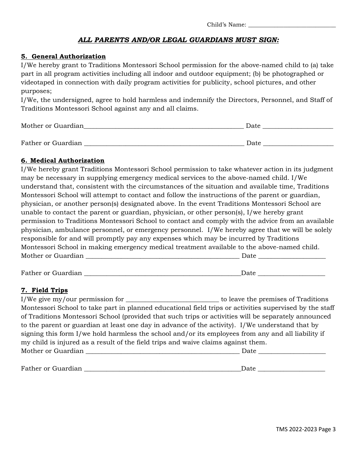## *ALL PARENTS AND/OR LEGAL GUARDIANS MUST SIGN:*

### **5. General Authorization**

I/We hereby grant to Traditions Montessori School permission for the above-named child to (a) take part in all program activities including all indoor and outdoor equipment; (b) be photographed or videotaped in connection with daily program activities for publicity, school pictures, and other purposes;

I/We, the undersigned, agree to hold harmless and indemnify the Directors, Personnel, and Staff of Traditions Montessori School against any and all claims.

| Mother or Guardian | Date |
|--------------------|------|
|                    |      |
| Father or Guardian | Date |

### **6. Medical Authorization**

I/We hereby grant Traditions Montessori School permission to take whatever action in its judgment may be necessary in supplying emergency medical services to the above-named child. I/We understand that, consistent with the circumstances of the situation and available time, Traditions Montessori School will attempt to contact and follow the instructions of the parent or guardian, physician, or another person(s) designated above. In the event Traditions Montessori School are unable to contact the parent or guardian, physician, or other person(s), I/we hereby grant permission to Traditions Montessori School to contact and comply with the advice from an available physician, ambulance personnel, or emergency personnel. I/We hereby agree that we will be solely responsible for and will promptly pay any expenses which may be incurred by Traditions Montessori School in making emergency medical treatment available to the above-named child. Mother or Guardian \_\_\_\_\_\_\_\_\_\_\_\_\_\_\_\_\_\_\_\_\_\_\_\_\_\_\_\_\_\_\_\_\_\_\_\_\_\_\_\_\_\_\_\_\_\_\_\_ Date \_\_\_\_\_\_\_\_\_\_\_\_\_\_\_\_\_\_\_\_\_

Father or Guardian \_\_\_\_\_\_\_\_\_\_\_\_\_\_\_\_\_\_\_\_\_\_\_\_\_\_\_\_\_\_\_\_\_\_\_\_\_\_\_\_\_\_\_\_\_\_\_\_\_Date \_\_\_\_\_\_\_\_\_\_\_\_\_\_\_\_\_\_\_\_\_

#### **7. Field Trips**

I/We give my/our permission for \_\_\_\_\_\_\_\_\_\_\_\_\_\_\_\_\_\_\_\_\_\_\_\_\_\_\_\_\_ to leave the premises of Traditions Montessori School to take part in planned educational field trips or activities supervised by the staff of Traditions Montessori School (provided that such trips or activities will be separately announced to the parent or guardian at least one day in advance of the activity). I/We understand that by signing this form I/we hold harmless the school and/or its employees from any and all liability if my child is injured as a result of the field trips and waive claims against them. Mother or Guardian \_\_\_\_\_\_\_\_\_\_\_\_\_\_\_\_\_\_\_\_\_\_\_\_\_\_\_\_\_\_\_\_\_\_\_\_\_\_\_\_\_\_\_\_\_\_\_\_ Date \_\_\_\_\_\_\_\_\_\_\_\_\_\_\_\_\_\_\_\_\_

Father or Guardian **Exercise 2.2 Security 1.2 Security 2.3** Security 2.3 Security 2.3 Security 2.3 Security 2.4 Security 2.3 Security 2.4 Security 2.4 Security 2.4 Security 2.4 Security 2.4 Security 2.4 Security 2.4 Securi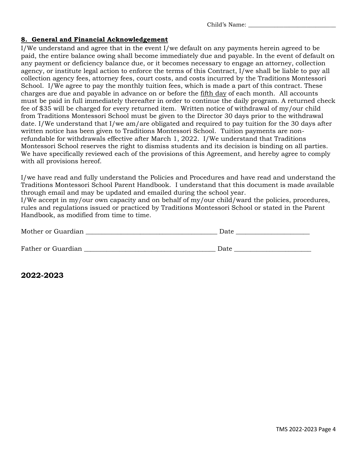Child's Name: \_\_\_\_\_\_\_\_\_\_\_\_\_\_\_\_\_\_\_\_\_\_\_\_\_\_\_\_\_\_

### **8. General and Financial Acknowledgement**

I/We understand and agree that in the event I/we default on any payments herein agreed to be paid, the entire balance owing shall become immediately due and payable. In the event of default on any payment or deficiency balance due, or it becomes necessary to engage an attorney, collection agency, or institute legal action to enforce the terms of this Contract, I/we shall be liable to pay all collection agency fees, attorney fees, court costs, and costs incurred by the Traditions Montessori School. I/We agree to pay the monthly tuition fees, which is made a part of this contract. These charges are due and payable in advance on or before the fifth day of each month. All accounts must be paid in full immediately thereafter in order to continue the daily program. A returned check fee of \$35 will be charged for every returned item. Written notice of withdrawal of my/our child from Traditions Montessori School must be given to the Director 30 days prior to the withdrawal date. I/We understand that I/we am/are obligated and required to pay tuition for the 30 days after written notice has been given to Traditions Montessori School.Tuition payments are nonrefundable for withdrawals effective after March 1, 2022. I/We understand that Traditions Montessori School reserves the right to dismiss students and its decision is binding on all parties. We have specifically reviewed each of the provisions of this Agreement, and hereby agree to comply with all provisions hereof.

I/we have read and fully understand the Policies and Procedures and have read and understand the Traditions Montessori School Parent Handbook. I understand that this document is made available through email and may be updated and emailed during the school year.

I/We accept in my/our own capacity and on behalf of my/our child/ward the policies, procedures, rules and regulations issued or practiced by Traditions Montessori School or stated in the Parent Handbook, as modified from time to time.

| Mother or Guardian | Date |
|--------------------|------|
|                    |      |
| Father or Guardian | Date |

**2022-2023**